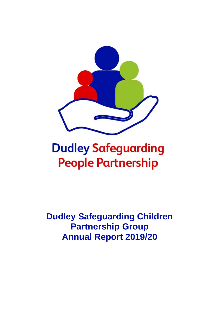

# **Dudley Safeguarding People Partnership**

**Dudley Safeguarding Children Partnership Group Annual Report 2019/20**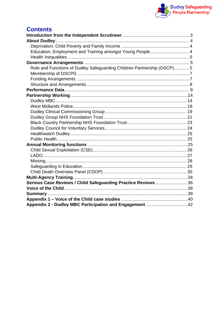

# **Contents**

| Education, Employment and Training amongst Young People  4             |  |
|------------------------------------------------------------------------|--|
|                                                                        |  |
|                                                                        |  |
| Role and Functions of Dudley Safeguarding Children Partnership (DSCP)5 |  |
|                                                                        |  |
|                                                                        |  |
|                                                                        |  |
|                                                                        |  |
|                                                                        |  |
|                                                                        |  |
|                                                                        |  |
|                                                                        |  |
|                                                                        |  |
|                                                                        |  |
|                                                                        |  |
|                                                                        |  |
|                                                                        |  |
|                                                                        |  |
|                                                                        |  |
|                                                                        |  |
|                                                                        |  |
|                                                                        |  |
|                                                                        |  |
|                                                                        |  |
| Serious Case Reviews / Child Safeguarding Practice Reviews 36          |  |
|                                                                        |  |
|                                                                        |  |
|                                                                        |  |
| Appendix 2 - Dudley MBC Participation and Engagement 42                |  |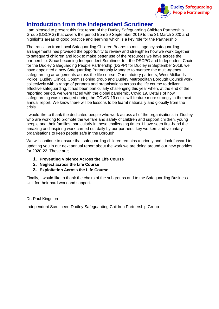

# <span id="page-2-0"></span>**Introduction from the Independent Scrutineer**

I am pleased to present this first report of the Dudley Safeguarding Children Partnership Group (DSCPG) that covers the period from 29 September 2019 to the 31 March 2020 and highlights areas of good practice and learning which is a key role for the Partnership

The transition from Local Safeguarding Children Boards to multi agency safeguarding arrangements has provided the opportunity to review and strengthen how we work together to safeguard children and look to make better use of the resources we have across the partnership. Since becoming Independent Scrutineer for the DSCPG and Independent Chair for the Dudley Safeguarding People Partnership (DSPP) for Dudley in September 2019, we have appointed a new Safeguarding Partnership Manager to oversee the multi-agency safeguarding arrangements across the life course. Our statutory partners, West Midlands Police, Dudley Clinical Commissioning group and Dudley Metropolitan Borough Council work collectively with a range of partners and organisations across the life course to deliver effective safeguarding. It has been particularly challenging this year when, at the end of the reporting period, we were faced with the global pandemic, Covid 19. Details of how safeguarding was managed during the COVID-19 crisis will feature more strongly in the next annual report. We know there will be lessons to be learnt nationally and globally from the crisis.

I would like to thank the dedicated people who work across all of the organisations in Dudley who are working to promote the welfare and safety of children and support children, young people and their families, particularly in these challenging times. I have seen first-hand the amazing and inspiring work carried out daily by our partners, key workers and voluntary organisations to keep people safe in the Borough.

We will continue to ensure that safeguarding children remains a priority and I look forward to updating you in our next annual report about the work we are doing around our new priorities for 2020-22. These are;

- **1. Preventing Violence Across the Life Course**
- **2. Neglect across the Life Course**
- **3. Exploitation Across the Life Course**

Finally, I would like to thank the chairs of the subgroups and to the Safeguarding Business Unit for their hard work and support.

### Dr. Paul Kingston

Independent Scrutineer, Dudley Safeguarding Children Partnership Group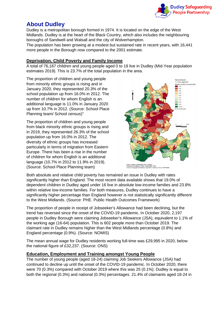

# <span id="page-3-0"></span>**About Dudley**

Dudley is a metropolitan borough formed in 1974. It is located on the edge of the West Midlands. Dudley is at the heart of the Black Country, which also includes the neighbouring boroughs of Sandwell and Walsall and the city of Wolverhampton.

The population has been growing at a modest but sustained rate in recent years, with 16,441 more people in the Borough now compared to the 2001 estimate.

# <span id="page-3-1"></span>**Deprivation, Child Poverty and Family Income**

A total of 76,187 children and young people aged 0 to 19 live in Dudley (Mid-Year population estimates 2019). This is 23.7% of the total population in the area.

The proportion of children and young people from minority ethnic groups is rising and in January 2020, they represented 20.3% of the school population up from 16.0% in 2012. The number of children for whom English is an additional language is 11.0% in January 2020 up from 10.7% in 2012. (Source: School Place Planning team/ School census)"

The proportion of children and young people from black minority ethnic groups is rising and in 2019, they represented 26.3% of the school population up from 16.0% in 2012. The diversity of ethnic groups has increased particularly in terms of migration from Eastern Europe. There has been a rise in the number of children for whom English is an additional language (10.7% in 2012 to 11.9% in 2019). (Source: School Place Planning team)



r. Indices of Deprivation 2019, MHCLG<br>red by: Intelligence Team, Dudley MBC, 2019<br>vn Copyright and database right 2019. Ordnance Survey 100019566

Both absolute and relative child poverty has remained an issue in Dudley with rates significantly higher than England. The most recent data available shows that 19.0% of dependent children in Dudley aged under 16 live in absolute low-income families and 23.8% within relative low-income families. For both measures, Dudley continues to have a significantly higher percentage than England however is not statistically significantly different to the West Midlands. (Source: PHE. Public Health Outcomes Framework)

The proportion of people in receipt of Jobseeker's Allowance had been declining, but the trend has reversed since the onset of the COVID-19 pandemic. In October 2020, 2,197 people in Dudley Borough were claiming Jobseeker's Allowance (JSA), equivalent to 1.1% of the working age (16-64) population. This is 602 people more than October 2019. The claimant rate in Dudley remains higher than the West Midlands percentage (0.8%) and England percentage (0.9%). (Source: NOMIS)

The mean annual wage for Dudley residents working full-time was £29,995 in 2020, below the national figure of £32,237. (Source: ONS)

# <span id="page-3-2"></span>**Education, Employment and Training amongst Young People**

The number of young people (aged 18-24) claiming Job Seekers Allowance (JSA) had continued to decline up until the onset of the COVID-19 pandemic. In October 2020, there were 70 (0.3%) compared with October 2019 where this was 25 (0.1%). Dudley is equal to both the regional (0.3%) and national (0.3%) percentages. 21.4% of claimants aged 18-24 in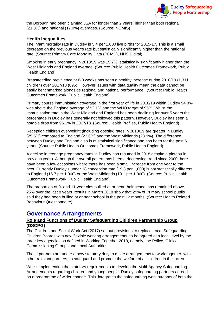

the Borough had been claiming JSA for longer than 2 years, higher than both regional (21.3%) and national (17.0%) averages. (Source: NOMIS)

### <span id="page-4-0"></span>**Health Inequalities**

The infant mortality rate in Dudley is 5.4 per 1,000 live births for 2015-17. This is a small decrease on the previous year's rate but statistically significantly higher than the national rate. (Source: Primary Care Mortality Data (PCMD), NHS Digital)

Smoking in early pregnancy in 2018/19 was 15.7%, statistically significantly higher than the West Midlands and England average. (Source: Public Health Outcomes Framework, Public Health England)

Breastfeeding prevalence at 6-8 weeks has seen a healthy increase during 2018/19 (1,311 children) over 2017/18 (895). However issues with data quality mean the data cannot be easily benchmarked alongside regional and national performance. (Source: Public Health Outcomes Framework, Public Health England)

Primary course immunisation coverage in the first year of life in 2018/19 within Dudley 94.8% was above the England average of 92.1% and the WHO target of 95%. Whilst the immunisation rate in the West Midland and England has been declining for over 5 years the percentage in Dudley has generally not followed this pattern. However, Dudley has seen a notable drop from 96.1% in 2017/18. (Source: Health Profiles, Public Health England)

Reception children overweight (including obesity) rates in 2018/19 are greater in Dudley (25.5%) compared to England (22.6%) and the West Midlands (23.9%). The difference between Dudley and England also is of statistical significance and has been for the past 6 years. (Source: Public Health Outcomes Framework, Public Health England)

A decline in teenage pregnancy rates in Dudley has resumed in 2018 despite a plateau in previous years. Although the overall pattern has been a decreasing trend since 2000 there have been a few occasions where there has been a small increase from one year to the next. Currently Dudley's under 18 conception rate (19.3 per 1,000) is not statistically different to England (16.7 per 1,000) or the West Midlands (19.1 per 1,000). (Source: Public Health Outcomes Framework, Public Health England)

The proportion of 9- and 11-year olds bullied at or near their school has remained above 25% over the last 8 years, results in March 2018 show that 29% of Primary school pupils said they had been bullied at or near school in the past 12 months. (Source: Health Related Behaviour Questionnaire)

# <span id="page-4-1"></span>**Governance Arrangements**

# <span id="page-4-2"></span>**Role and Functions of Dudley Safeguarding Children Partnership Group (DSCPG)**

The Children and Social Work Act (2017) set out provisions to replace Local Safeguarding Children Boards with new flexible working arrangements, to be agreed at a local level by the three key agencies as defined in Working Together 2018, namely, the Police, Clinical Commissioning Groups and Local Authorities.

These partners are under a new statutory duty to make arrangements to work together, with other relevant partners, to safeguard and promote the welfare of all children in their area.

Whilst implementing the statutory requirements to develop the Multi-Agency Safeguarding Arrangements regarding children and young people, Dudley safeguarding partners agreed on a programme of wider change. This integrates the safeguarding work streams of both the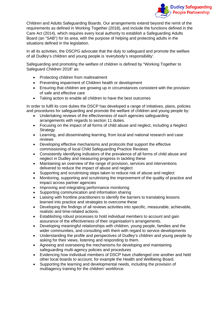

Children and Adults Safeguarding Boards. Our arrangements extend beyond the remit of the requirements as defined in Working Together (2018), and include the functions defined in the Care Act (2014), which requires every local authority to establish a Safeguarding Adults Board (an "SAB") for its area, with the purpose of helping and protecting adults in the situations defined in the legislation.

In all its activities, the DSCPG advocate that the duty to safeguard and promote the welfare of all Dudley's children and young people is 'everybody's responsibility'.

Safeguarding and promoting the welfare of children is defined by "Working Together to Safeguard Children 2018" as:

- Protecting children from maltreatment
- Preventing impairment of Children health or development
- Ensuring that children are growing up in circumstances consistent with the provision of safe and effective care
- Taking action to enable all children to have the best outcomes

In order to fulfil its core duties the DSCP has developed a range of initiatives, plans, policies and procedures for safeguarding and promote the welfare of children and young people by:

- Undertaking reviews of the effectiveness of each agencies safeguarding arrangements with regards to section 11 duties.
- Focusing on the impact of all forms of child abuse and neglect, including a Neglect **Strategy**
- Learning, and disseminating learning, from local and national research and case reviews
- Developing effective mechanisms and protocols that support the effective commissioning of local Child Safeguarding Practice Reviews
- Consistently identifying indicators of the prevalence of all forms of child abuse and neglect in Dudley and measuring progress in tackling these
- Maintaining an overview of the range of provision, services and interventions delivered to reduce the impact of abuse and neglect
- Supporting and scrutinising steps taken to reduce risk of abuse and neglect
- Monitoring, supporting and scrutinising the improvement of the quality of practice and impact across partner agencies
- Improving and integrating performance monitoring
- Supporting communication and information sharing
- Liaising with frontline practitioners to identify the barriers to translating lessons learned into practice and strategies to overcome these
- Developing the findings of all reviews activities into specific, measurable, achievable, realistic and time-related actions.
- Establishing robust processes to hold individual members to account and gain assurance of the effectiveness of their organisation's arrangements.
- Developing meaningful relationships with children, young people, families and the wider communities, and consulting with them with regard to service developments
- Understanding the profile and perspectives of Dudley's children and young people by asking for their views, listening and responding to them.
- Agreeing and overseeing the mechanisms for developing and maintaining safeguarding multi-agency policies and procedures
- Evidencing how individual members of DSCP have challenged one another and held other local boards to account, for example the Health and Wellbeing Board.
- Supporting the learning and developmental needs, including the provision of multiagency training for the children' workforce.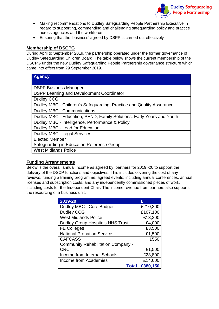

- Making recommendations to Dudley Safeguarding People Partnership Executive in regard to supporting, commending and challenging safeguarding policy and practice across agencies and the workforce
- Ensuring that the 'business' agreed by DSPP is carried out effectively

# <span id="page-6-0"></span>**Membership of DSCPG**

During April to September 2019, the partnership operated under the former governance of Dudley Safeguarding Children Board. The table below shows the current membership of the DSCPG under the new Dudley Safeguarding People Partnership governance structure which came into effect from 29 September 2019.

| <b>Agency</b>                                                         |
|-----------------------------------------------------------------------|
|                                                                       |
| <b>DSPP Business Manager</b>                                          |
| <b>DSPP Learning and Development Coordinator</b>                      |
| <b>Dudley CCG</b>                                                     |
| Dudley MBC - Children's Safeguarding, Practice and Quality Assurance  |
| <b>Dudley MBC - Communications</b>                                    |
| Dudley MBC - Education, SEND, Family Solutions, Early Years and Youth |
| Dudley MBC - Intelligence, Performance & Policy                       |
| Dudley MBC - Lead for Education                                       |
| <b>Dudley MBC - Legal Services</b>                                    |
| <b>Elected Member</b>                                                 |
| Safeguarding in Education Reference Group                             |
| <b>West Midlands Police</b>                                           |
|                                                                       |

# <span id="page-6-1"></span>**Funding Arrangements**

Below is the overall annual income as agreed by partners for 2019 -20 to support the delivery of the DSCP functions and objectives. This includes covering the cost of any reviews, funding a training programme, agreed events; including annual conferences, annual licenses and subscription costs, and any independently commissioned pieces of work, including costs for the Independent Chair. The income revenue from partners also supports the resourcing of a business unit.

| 2019-20                                   | £        |
|-------------------------------------------|----------|
| Dudley MBC - Core Budget                  | £210,300 |
| <b>Dudley CCG</b>                         | £107,100 |
| <b>West Midlands Police</b>               | £13,300  |
| <b>Dudley Group Hospitals NHS Trust</b>   | £4,000   |
| <b>FE Colleges</b>                        | £3,500   |
| <b>National Probation Service</b>         | £1,500   |
| <b>CAFCASS</b>                            | £550     |
| <b>Community Rehabilitation Company -</b> |          |
| <b>CRC</b>                                | £1,500   |
| Income from Internal Schools              | £23,800  |
| Income from Academies                     | £14,600  |
| <b>Total</b>                              | £380,150 |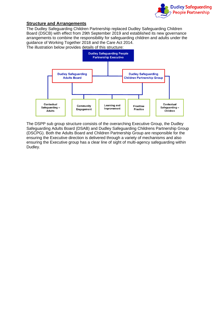

# <span id="page-7-0"></span>**Structure and Arrangements**

The Dudley Safeguarding Children Partnership replaced Dudley Safeguarding Children Board (DSCB) with effect from 29th September 2019 and established its new governance arrangements to combine the responsibility for safeguarding children and adults under the guidance of Working Together 2018 and the Care Act 2014.

The illustration below provides details of this structure:



The DSPP sub group structure consists of the overarching Executive Group, the Dudley Safeguarding Adults Board (DSAB) and Dudley Safeguarding Childrens Partnership Group (DSCPG). Both the Adults Board and Children Partnership Group are responsible for the ensuring the Executive direction is delivered through a variety of mechanisms and also ensuring the Executive group has a clear line of sight of multi-agency safeguarding within Dudley.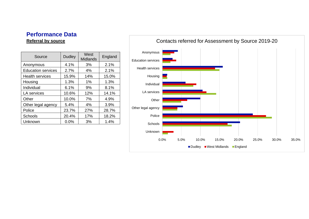# **Performance Data Referral by source**

<span id="page-8-0"></span>

| Source                    | <b>Dudley</b> | West<br><b>Midlands</b> | England |
|---------------------------|---------------|-------------------------|---------|
| Anonymous                 | 4.1%          | 3%                      | 2.1%    |
| <b>Education services</b> | 2.7%          | 4%                      | 2.1%    |
| <b>Health services</b>    | 15.9%         | 14%                     | 15.0%   |
| Housing                   | 1.3%          | 1%                      | 1.3%    |
| Individual                | 6.1%          | 9%                      | 8.1%    |
| LA services               | 10.6%         | 12%                     | 14.1%   |
| Other                     | 10.0%         | 7%                      | 4.9%    |
| Other legal agency        | 5.4%          | 4%                      | 3.9%    |
| Police                    | 23.7%         | 27%                     | 28.7%   |
| <b>Schools</b>            | 20.4%         | 17%                     | 18.2%   |
| Unknown                   | 0.0%          | 3%                      | 1.4%    |

Police Other legal agency **Other** LA services Individual Housing Health services Education services Anonymous

Unknown

Schools

0.0% 5.0% 10.0% 15.0% 20.0% 25.0% 30.0% 35.0%

Dudley West Midlands England

# Contacts referred for Assessment by Source 2019-20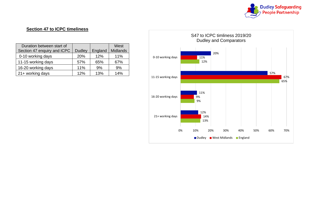

# **Section 47 to ICPC timeliness**

| Duration between start of   |               |         | West            |
|-----------------------------|---------------|---------|-----------------|
| Section 47 enquiry and ICPC | <b>Dudley</b> | England | <b>Midlands</b> |
| 0-10 working days           | <b>20%</b>    | 12%     | 11%             |
| 11-15 working days          | 57%           | 65%     | 67%             |
| 16-20 working days          | 11%           | 9%      | 9%              |
| 21+ working days            | 12%           | 13%     | 14%             |

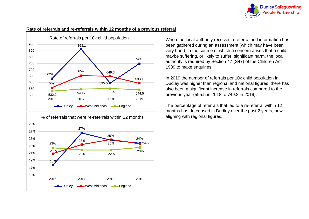

### **Rate of referrals and re-referrals within 12 months of a previous referral**





When the local authority receives a referral and information has been gathered during an assessment (which may have been very brief), in the course of which a concern arises that a child maybe suffering, or likely to suffer, significant harm, the local authority is required by Section 47 (S47) of the Children Act 1989 to make enquiries.

In 2019 the number of referrals per 10k child population in Dudley was higher than regional and national figures, there has also been a significant increase in referrals compared to the previous year (595.5 in 2018 to 749.3 in 2019).

The percentage of referrals that led to a re-referral within 12 months has decreased in Dudley over the past 2 years, now aligning with regional figures.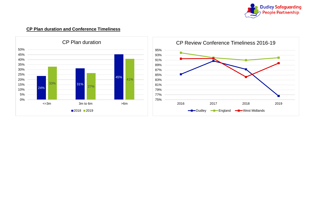

# **CP Plan duration and Conference Timeliness**



# 75% 77% 79% 81% 83% 85% 87% 89% 91% 93% 95% 2016 2017 2018 2019 CP Review Conference Timeliness 2016-19 **-B**-Dudley -B-England -D-West Midlands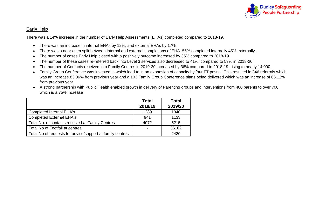

# **Early Help**

There was a 14% increase in the number of Early Help Assessments (EHAs) completed compared to 2018-19.

- There was an increase in internal EHAs by 12%, and external EHAs by 17%.
- There was a near even split between internal and external completions of EHA. 55% completed internally 45% externally.
- The number of cases Early Help closed with a positively outcome increased by 35% compared to 2018-19.
- The number of these cases re-referred back into Level 3 services also decreased to 41%, compared to 53% in 2018-20.
- The number of Contacts received into Family Centres in 2019-20 increased by 36% compared to 2018-19, rising to nearly 14,000.
- Family Group Conference was invested in which lead to in an expansion of capacity by four FT posts. This resulted in 346 referrals which was an increase 83.06% from previous year and a 103 Family Group Conference plans being delivered which was an increase of 66.12% from previous year.
- A strong partnership with Public Health enabled growth in delivery of Parenting groups and interventions from 400 parents to over 700 which is a 75% increase

|                                                           | <b>Total</b> | <b>Total</b> |
|-----------------------------------------------------------|--------------|--------------|
|                                                           | 2018/19      | 2019/20      |
| <b>Completed Internal EHA's</b>                           | 1289         | 1340         |
| <b>Completed External EHA's</b>                           | 941          | 1133         |
| Total No. of contacts received at Family Centres          | 4072         | 5215         |
| Total No of Footfall at centres                           | -            | 36162        |
| Total No of requests for advice/support at family centres |              | 2420         |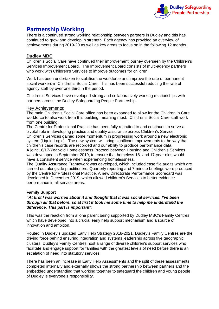

# <span id="page-13-0"></span>**Partnership Working**

There is a continued strong working relationship between partners in Dudley and this has continued to grow and develop in strength. Each agency has provided an overview of achievements during 2019-20 as well as key areas to focus on in the following 12 months.

# <span id="page-13-1"></span>**Dudley MBC**

Children's Social Care have continued their improvement journey overseen by the Children's Services Improvement Board. The Improvement Board consists of multi-agency partners who work with Children's Services to improve outcomes for children.

Work has been undertaken to stabilise the workforce and improve the rate of permanent social workers in Children's Social Care. This has been successful reducing the rate of agency staff by over one third in the period.

Children's Services have developed strong and collaboratively working relationships with partners across the Dudley Safeguarding People Partnership.

# Key Achievements:

The main Children's Social Care office has been expanded to allow for the Children in Care workforce to also work from this building, meaning most. Children's Social Care staff work from one building.

The Centre for Professional Practice has been fully recruited to and continues to serve a pivotal role in developing practice and quality assurance across Children's Service. Children's Services gained some momentum in progressing work around a new electronic system (Liquid Logic). The new system will bring significant improvements to the way that children's case records are recorded and our ability to produce performance data.

A joint 16/17-Year-old Homelessness Protocol between Housing and Children's Services was developed in September 2019, to ensure that homeless 16- and 17-year olds would have a consistent service when experiencing homelessness.

The Quality Assurance Framework was developed, which included case file audits which are carried out alongside practitioners. Quarterly reporting and 7-minute briefings were produced by the Centre for Professional Practice. A new Directorate Performance Scorecard was developed in December 2019, which allowed children's Services to better evidence performance in all service areas.

# **Family Support**

### *"At first I was worried about it and thought that it was social services. I've been through all that before, so at first it took me some time to help me understand the difference. This part is important".*

This was the reaction from a lone parent being supported by Dudley MBC's Family Centres which have developed into a crucial early help support mechanism and a source of innovation and ambition.

Routed in Dudley's updated Early Help Strategy 2018-2021, Dudley's Family Centres are the driving force behind ensuring integration and systems leadership across five geographic clusters. Dudley's Family Centres host a range of diverse children's support services who facilitate and engage support for families with the greatest levels of need before there is an escalation of need into statutory services.

There has been an increase in Early Help Assessments and the split of these assessments completed internally and externally shows the strong partnership between partners and the embedded understanding that working together to safeguard the children and young people of Dudley is everyone's responsibility.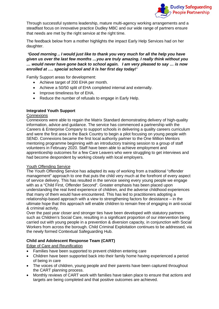

Through successful systems leadership, mature multi-agency working arrangements and a steadfast focus on innovative practice Dudley MBC and our wide range of partners ensure that needs are met by the right service at the right time.

The feedback below from a mother highlights the impact Early Help Services had on her daughter.

*'Good morning .. I would just like to thank you very much for all the help you have given us over the last few months …you are truly amazing. I really think without you … would never have gone back to school again. I am very pleased to say … is now enrolled at …. special school and it is her first day today!'*

Family Support areas for development:

- Achieve target of 200 EHA per month.
- Achieve a 50/50 split of EHA completed internal and externally.
- Improve timeliness for of EHA.
- Reduce the number of refusals to engage in Early Help.

### **Integrated Youth Support**

### **Connexions**

Connexions were able to regain the Matrix Standard demonstrating delivery of high-quality information, advice and guidance. The service has commenced a partnership with the Careers & Enterprise Company to support schools in delivering a quality careers curriculum and were the first area in the Back Country to begin a pilot focusing on young people with SEND. Connexions became the first local authority partner to the One Million Mentors mentoring programme beginning with an introductory training session to a group of staff volunteers in February 2020. Staff have been able to achieve employment and apprenticeship outcomes for a few Care Leavers who were struggling to get interviews and had become despondent by working closely with local employers.

### Youth Offending Service

The Youth Offending Service has adapted its way of working from a traditional "offender management" approach to one that puts the child very much at the forefront of every aspect of service delivery. This has resulted in the service seeing every young people we engage with as a "Child First, Offender Second". Greater emphasis has been placed upon understanding the real lived experience of children, and the adverse childhood experiences that many of them would have encountered. This has led to practitioners adopting a relationship-based approach with a view to strengthening factors for desistance – in the ultimate hope that this approach will enable children to remain free of engaging in anti-social & criminal activity.

Over the past year closer and stronger ties have been developed with statutory partners such as Children's Social Care, resulting in a significant proportion of our intervention being carried out with young people in a prevention & diversion capacity, in conjunction with Social Workers from across the borough. Child Criminal Exploitation continues to be addressed, via the newly formed Contextual Safeguarding Hub.

# **Child and Adolescent Response Team (CART)**

Edge of Care and Reunification

- Families have been supported to prevent children entering care
- Children have been supported back into their family home having experienced a period of being in care
- The voices of children, young people and their parents have been captured throughout the CART planning process.
- Monthly reviews of CART work with families have taken place to ensure that actions and targets are being completed and that positive outcomes are achieved.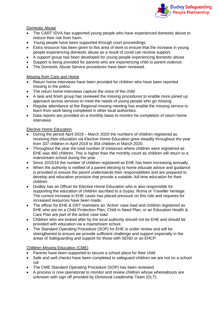

### Domestic Abuse

- The CART IDVA has supported young people who have experienced domestic abuse to reduce their risk from harm.
- Young people have been supported through court proceedings.
- Extra resource has been given to this area of work to ensure that the increase in young people experiencing domestic abuse as a result of covid can receive support.
- A support group has been developed for young people experiencing domestic abuse
- Support is being provided for parents who are experiencing child to parent violence.
- The Domestic Abuse Service procedures have been reviewed.

#### Missing from Care and Home

- Return home interviews have been provided for children who have been reported missing to the police.
- The return home interviews capture the voice of the child
- A task and finish group has reviewed the missing procedures to enable more joined up approach across services to meet the needs of young people who go missing
- Regular attendance at the Regional missing meeting has enable the missing service to learn from work being completed in other local authorities.
- Data reports are provided on a monthly basis to monitor he completion of return home interviews

#### Elective Home Education

- During the period April 2019 March 2020 the numbers of children registered as receiving their education via Elective Home Education grew steadily throughout the year from 337 children in April 2019 to 354 children in March 2020.
- Throughout the year the total number of instances where children were registered as EHE was 460 children. This is higher than the monthly count as children will return to a mainstream school during the year.
- Since 2015/16 the number of children registered as EHE has been increasing annually.
- When the authority is notified of a parent electing to home educate advice and quidance is provided to ensure the parent understands their responsibilities and are prepared to develop and education provision that provide a suitable, full time education for their children.
- Dudley has an Officer for Elective Home Education who is also responsible for supporting the education of children ascribed to a Gypsy, Roma or Traveller heritage. The current increase in EHE cases has placed pressure on this role and requests for increased resources have been made.
- The officer for EHE & GRT maintains an 'Active' case load and children registered as EHE who are on a Child Protection Plan, Child in Need Plan, or an Education Health & Care Plan are part of the active case load.
- Children who are looked after by the local authority should not be EHE and should be provided with education via a mainstream school.
- The Standard Operating Procedure (SOP) for EHE is under review and will be strengthened to ensure we provide sufficient challenge and support especially in the areas of Safeguarding and support for those with SEND or an EHCP.

### Children Missing Education (CME)

- Parents have been supported to secure a school place for their child
- Safe and well checks have been completed to safeguard children we are not on a school roll
- The CME Standard Operating Procedure (SOP) has been reviewed
- A process is now operational to monitor and review children whose whereabouts are unknown with sign off provided by Divisional Leadership Team (DLT).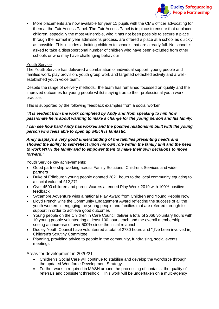

• More placements are now available for year 11 pupils with the CME officer advocating for them at the Fair Access Panel. The Fair Access Panel is in place to ensure that unplaced children, especially the most vulnerable, who it has not been possible to secure a place through the normal in year admissions process, are offered a place at a school as quickly as possible. This includes admitting children to schools that are already full. No school is asked to take a disproportional number of children who have been excluded from other schools or who may have challenging behaviour

### Youth Service

The Youth Service has delivered a combination of individual support, young people and families work, play provision, youth group work and targeted detached activity and a wellestablished youth voice team.

Despite the range of delivery methods, the team has remained focussed on quality and the improved outcomes for young people whilst staying true to their professional youth work practice.

This is supported by the following feedback examples from a social worker:

### *"It is evident from the work completed by Andy and from speaking to him how passionate he is about wanting to make a change for the young person and his family.*

### *I can see how hard Andy has worked and the positive relationship built with the young person who feels able to open up which is fantastic.*

### *Andy displays a very good understanding of the families presenting needs and showed the ability to self-reflect upon his own role within the family unit and the need to work WITH the family and to empower them to make their own decisions to move forward."*

Youth Service key achievements:

- Good partnership working across Family Solutions, Childrens Services and wider partners
- Duke of Edinburgh young people donated 2821 hours to the local community equating to a social value of £12,271
- Over 4500 children and parents/carers attended Play Week 2019 with 100% positive feedback
- Sycamore Adventure wins a national Play Award from Children and Young People Now
- Lloyd French wins the Community Engagement Award reflecting the success of all the youth workers in engaging the young people and families that are referred through for support in order to achieve good outcomes
- Young people on the Children in Care Council deliver a total of 2066 voluntary hours with 10 young people volunteering at least 100 hours each and the overall membership seeing an increase of over 500% since the initial relaunch.
- Dudley Youth Council have volunteered a total of 2780 hours and "[I've been involved in] Children's Scrutiny Committee,
- Planning, providing advice to people in the community, fundraising, social events, meetings

Areas for development in 2020/21

- Children's Social Care will continue to stabilise and develop the workforce through the updated Workforce Development Strategy.
- Further work in required in MASH around the processing of contacts, the quality of referrals and consistent threshold. This work will be undertaken on a multi-agency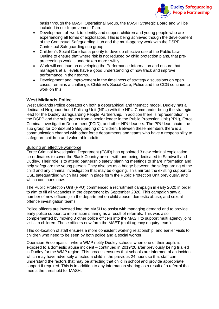

basis through the MASH Operational Group, the MASH Strategic Board and will be included in our Improvement Plan.

- Development of work to identify and support children and young people who are experiencing all forms of exploitation. This is being achieved though the development of the Contextual Safeguarding Hub and the multi-agency work with the DSPP Contextual Safeguarding sub group.
- Children's Social Care has a priority to develop effective use of the Public Law Outline to ensure that where risk is not reduced by child protection plans, that preproceedings work is undertaken more swiftly.
- Work will continue on developing the Performance Information and ensure that managers at all levels have a good understanding of how track and improve performance in their teams.
- Development and improvement in the timeliness of strategy discussions on open cases, remains a challenge. Children's Social Care, Police and the CCG continue to work on this.

### <span id="page-17-0"></span>**West Midlands Police**

West Midlands Police operates on both a geographical and thematic model. Dudley has a dedicated Neighbourhood Policing Unit (NPU) with the NPU Commander being the strategic lead for the Dudley Safeguarding People Partnership. In addition there is representation in the DSPP and the sub groups from a senior leader in the Public Protection Unit (PPU), Force Criminal Investigation Department (FCID), and other NPU leaders. The PPU lead chairs the sub group for Contextual Safeguarding of Children. Between these members there is a communication channel with other force departments and teams who have a responsibility to safeguard children and vulnerable adults.

#### Building an effective workforce

Force Criminal Investigation Department (FCID) has appointed 3 new criminal exploitation co-ordinators to cover the Black Country area – with one being dedicated to Sandwell and Dudley. Their role is to attend partnership safety planning meetings to share information and help safeguard the young person. They also act as a bridge between the safeguarding of the child and any criminal investigation that may be ongoing. This mirrors the existing support to CSE safeguarding which has been in place form the Public Protection Unit previously, and which continues now.

The Public Protection Unit (PPU) commenced a recruitment campaign in early 2020 in order to aim to fill all vacancies in the department by September 2020. This campaign saw a number of new officers join the department on child abuse, domestic abuse, and sexual offence investigation teams.

Police officers are invested into the MASH to assist with managing demand and to provide early police support to information sharing as a result of referrals. This was also complemented by moving 3 other police officers into the MASH to support multi agency joint visits to children. These officers now form the MAET (multi agency enquiry team).

This co-location of staff ensures a more consistent working relationship, and earlier visits to children who need to be seen by both police and a social worker.

Operation Encompass – where WMP notify Dudley schools when one of their pupils is exposed to a domestic abuse incident – continued in 2019/20 after previously being trialled in Dudley for the WMP region. This process ensures that schools are informed of an incident which may have adversely affected a child in the previous 24 hours so that staff can understand the factors that may be affecting that child in school and provide appropriate support if required. This is in addition to any information sharing as a result of a referral that meets the threshold for MASH.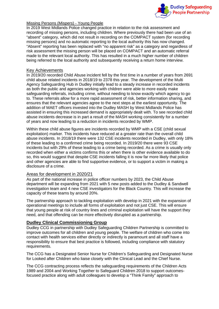

#### Missing Persons (Mispers) - Young People

In 2019 West Midlands Police changed practice in relation to the risk assessment and recording of missing persons, including children. Where previously there had been use of an "absent" category, which did not result in recording on the COMPACT system (for recording missing persons) and no automatic reporting to the local authority this has now changed. "Absent" reporting has been replaced with "no apparent risk" as a category and regardless of risk assessment the missing person will be placed on COMPACT and an automatic referral made to the relevant local authority. This has resulted in a much higher number of children being referred to the local authority and subsequently receiving a return home interview.

#### Key Achievements

In 2019/20 recorded Child Abuse incident fell by the first time in a number of years from 2691 child abuse related incidents in 2018/19 to 2378 this year. The development of the Multi Agency Safeguarding Hub in Dudley initially lead to a steady increase in recorded incidents as both the public and agencies working with children were able to more easily make safeguarding referrals, including crime, without needing to know exactly which agency to go to. These referrals allow for a more rapid assessment of risk, better information sharing, and ensures that the relevant agencies agree to the next steps at the earliest opportunity. The addition of MAET officers invested into the Dudley MASH by West Midlands Police has assisted in ensuring this increased demand is appropriately dealt with. To see recorded child abuse incidents decrease is in part a result of the MASH working consistently for a number of years and now leading to a reduction in incidents recorded by WMP.

Within these child abuse figures are incidents recorded by WMP with a CSE (child sexual exploitation) marker. This incidents have reduced at a greater rate than the overall child abuse incidents. In 2018/19 there were 132 CSE incidents recorded in Dudley, with only 18% of these leading to a confirmed crime being recorded. In 2019/20 there were 93 CSE incidents but with 29% of these leading to a crime being recorded. As a crime is usually only recorded when either a victims confirms this or when there is other evidence available to do so, this would suggest that despite CSE incidents falling it is now far more likely that police and other agencies are able to find supportive evidence, or to support a victim in making a disclosure of a crime.

### Areas for development in 2020/21

As part of the national increase in police officer numbers by 2023, the Child Abuse department will be expanding from 2021 with 5 new posts added to the Dudley & Sandwell investigation team and 4 new CSE investigators for the Black Country. This will increase the capacity of these teams by around 20%.

The partnership approach to tackling exploitation with develop in 2021 with the expansion of operational meetings to include all forms of exploitation and not just CSE. This will ensure that young people at risk of country lines and criminal exploitation will have the support they need, and that offending can be more effectively disrupted as a partnership.

### <span id="page-18-0"></span>**Dudley Clinical Commissioning Group**

Dudley CCG in partnership with Dudley Safeguarding Children Partnership is committed to improve outcomes for all children and young people. The welfare of children who come into contact with health services either directly or indirectly is paramount and all staff have a responsibility to ensure that best practice is followed, including compliance with statutory requirements.

The CCG has a Designated Senior Nurse for Children's Safeguarding and Designated Nurse for Looked after Children who liaise closely with the Clinical Lead and the Chief Nurse.

The CCG contracting process reflects the safeguarding requirements of the Children Acts 1989 and 2004 and Working Together to Safeguard Children 2018 to support outcomesfocused practice along with adult colleagues to develop a "Think Family" approach to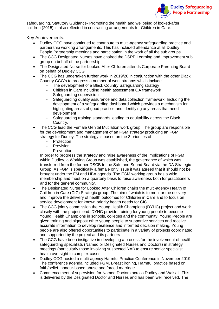

safeguarding. Statutory Guidance- Promoting the health and wellbeing of looked-after children (2015) is also reflected in contracting arrangements for Children in Care.

Key Achievements:

- Dudley CCG have continued to contribute to multi-agency safeguarding practice and partnership working arrangements. This has included attendance at all Dudley People Partnership meetings and participation in the work of all the sub groups
- The CCG Designated Nurses have chaired the DSPP Learning and Improvement sub group on behalf of the partnership.
- The Designated Nurse for Looked After Children attends Corporate Parenting Board on behalf of Dudley CCG
- The CCG has undertaken further work in 2019/20 in conjunction with the other Black Country CCG's to progress a number of work streams which include
	- The development of a Black Country Safeguarding strategy
	- Children in Care including health assessment QA framework
	- Safeguarding supervision
	- Safeguarding quality assurance and data collection framework. Including the development of a safeguarding dashboard which provides a mechanism for highlighting areas of good practice and identifying any areas that need development
	- Safeguarding training standards leading to equitability across the Black Country.
- The CCG lead the Female Genital Mutilation work group. The group are responsible for the development and management of an FGM strategy producing an FGM strategy for Dudley. The strategy is based on the 3 priorities of
	- **Protection**
	- **Provision**
	- **Prevention**

In order to progress the strategy and raise awareness of the implications of FGM within Dudley, a Working Group was established, the governance of which was transferred from the former DSCB to the Safe and Sound Board via the DA Strategic Group. As FGM is specifically a female only issue it was agreed that it should not be brought under the FM and HBA agenda. The FGM working group has a wide membership and meet on a quarterly basis to raise awareness both for practitioners and for the general community.

- The Designated Nurse for Looked After Children chairs the multi-agency Health of Children in Care (CIC) Strategic group. The aim of which is to monitor the delivery and improve the delivery of health outcomes for Children in Care and to focus on service development for known priority health needs for CIC
- The CCG jointly commission the Young Health Champions (DYHC) project and work closely with the project lead. DYHC provide training for young people to become Young Health Champions in schools, colleges and the community. Young People are given training and signpost other young people to supportive services and receive accurate information to develop resilience and informed decision making. Young people are also offered opportunities to participate in a variety of projects coordinated and supported by the project and its partners
- The CCG have been instigative in developing a process for the involvement of health safeguarding specialists (Named or Designated Nurses and Doctors) in strategy meetings (particularly those involving suspected NAI) to ensure senior specialist health oversight in complex cases.
- Dudley CCG hosted a multi-agency Harmful Practice Conference in November 2019. The conference agenda included FGM, Breast ironing, Harmful practice based on faith/belief, honour-based abuse and forced marriage.
- Commencement of supervision for Named Doctors across Dudley and Walsall. This is delivered by the Designated Doctor and Nurses and has been well received. The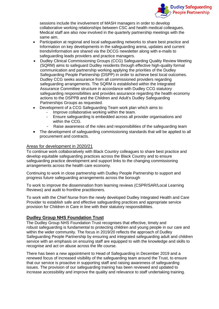

sessions include the involvement of MASH managers in order to develop collaborative working relationships between CSC and health medical colleagues. Medical staff are also now involved in the quarterly partnership meetings with the same aim.

- Participation at regional and local safeguarding networks to share best practice and Information on key developments in the safeguarding arena, updates and current trends/information are shared via the DCCG newsletter along with e-mails to safeguarding leads providers and practice managers.
- Dudley Clinical Commissioning Groups (CCG) Safeguarding Quality Review Meeting (SQRM) aims to safeguard Dudley residents through effective high-quality formal communication and partnership working applying the priorities of the Dudley Safeguarding People Partnership (DSPP) in order to achieve best local outcomes. Dudley CCG seeks assurance from all commissioned providers regarding safeguarding arrangements. The SQRM is established within the Integrated Assurance Committee structure in accordance with Dudley CCG statutory safeguarding responsibilities and provides assurance regarding the health economy actions to the DSPPB and the Children and Adult's Dudley Safeguarding Partnerships Groups as requested.
- Development of a CCG Safeguarding Team work plan which aims to:
	- Improve collaborative working within the team.
	- Ensure safeguarding is embedded across all provider organisations and within the CCG.
	- Raise awareness of the roles and responsibilities of the safeguarding team
- The development of safeguarding commissioning standards that will be applied to all procurement and contracts.

### Areas for development in 2020/21

To continue work collaboratively with Black Country colleagues to share best practice and develop equitable safeguarding practices across the Black Country and to ensure safeguarding practice development and support links to the changing commissioning arrangements across the health care economy.

Continuing to work in close partnership with Dudley People Partnership to support and progress future safeguarding arrangements across the borough

To work to improve the dissemination from learning reviews (CSPR/SAR/Local Learning Reviews) and audit to frontline practitioners.

To work with the Chief Nurse from the newly developed Dudley Integrated Health and Care Provider to establish safe and effective safeguarding practices and appropriate service provision for Children in Care in line with their statutory responsibilities.

# <span id="page-20-0"></span>**Dudley Group NHS Foundation Trust**

The Dudley Group NHS Foundation Trust recognises that effective, timely and robust safeguarding is fundamental to protecting children and young people in our care and within the wider community. The focus in 2019/20 reflects the approach of Dudley Safeguarding People Partnership by ensuring and integrated safeguarding adult and children service with an emphasis on ensuring staff are equipped to with the knowledge and skills to recognise and act on abuse across the life course.

There has been a new appointment to Head of Safeguarding in December 2019 and a renewed focus of increased visibility of the safeguarding team around the Trust, to ensure that our service is proactive in supporting staff and raising awareness of safeguarding issues. The provision of our safeguarding training has been reviewed and updated to increase accessibility and improve the quality and relevance to staff undertaking training.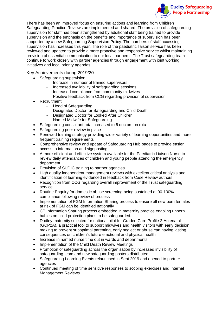

There has been an improved focus on ensuring actions and learning from Children Safeguarding Practice Reviews are implemented and shared. The provision of safeguarding supervision for staff has been strengthened by additional staff being trained to provide supervision and the emphasis on the benefits and importance of supervision has been supported by a new Safeguarding Supervision Policy. The numbers of staff accessing supervision has increased this year. The role of the paediatric liaison service has been reviewed and updated to provide a more proactive and responsive service whilst maintaining provision of essential communication to our local partners. The Trust safeguarding team continue to work closely with partner agencies through engagement with joint working initiatives and local priority agendas.

# Key Achievements during 2019/20

- Safeguarding supervision
	- Increase in number of trained supervisors
	- Increased availability of safeguarding sessions
	- Increased compliance from community midwives
	- Positive feedback from CCG regarding provision of supervision
- Recruitment:
	- Head of Safeguarding
	- Designated Doctor for Safeguarding and Child Death
	- Designated Doctor for Looked After Children
	- Named Midwife for Safeguarding
- Safeguarding consultant rota increased to 6 doctors on rota
- Safeguarding peer review in place
- Renewed training strategy providing wider variety of learning opportunities and more frequent training requirements
- Comprehensive review and update of Safeguarding Hub pages to provide easier access to information and signposting
- A more efficient and effective system available for the Paediatric Liaison Nurse to review daily attendances of children and young people attending the emergency department
- Provision of SUDIC training to partner agencies
- High quality independent management reviews with excellent critical analysis and identification of learning evidenced in feedback from Case Review authors
- Recognition from CCG regarding overall improvement of the Trust safeguarding service
- Routine Enquiry for domestic abuse screening being sustained at 90-100% compliance following review of process
- Implementation of FGM Information Sharing process to ensure all new born females at risk of FGM can be identified nationally
- CP Information Sharing process embedded in maternity practice enabling unborn babies on child protection plans to be safeguarded.
- Dudley maternity selected for national pilot for Graded Care Profile 2-Antenatal (GCP2A), a practical tool to support midwives and health visitors with early decision making to prevent suboptimal parenting, early neglect or abuse can having lasting consequences on children's future emotional and physical health
- Increase in named nurse time out in wards and departments
- Implementation of the Child Death Review Meetings
- Promotion of safeguarding across the organisation by increased invisibility of safeguarding team and new safeguarding posters distributed
- Safeguarding Learning Events relaunched in Sept 2019 and opened to partner agencies
- Continued meeting of time sensitive responses to scoping exercises and Internal Management Reviews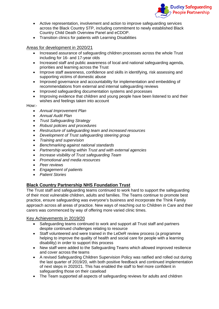

- Active representation, involvement and action to improve safeguarding services across the Black Country STP, including commitment to newly established Black Country Child Death Overview Panel and eCDOP.
- Transition clinics for patients with Learning Disabilities

Areas for development in 2020/21

- Increased assurance of safeguarding children processes across the whole Trust including for 16- and 17-year olds
- Increased staff and public awareness of local and national safeguarding agenda, priorities and learning across the Trust
- Improve staff awareness, confidence and skills in identifying, risk assessing and supporting victims of domestic abuse
- Improved governance and accountability for implementation and embedding of recommendations from external and internal safeguarding reviews
- Improved safeguarding documentation systems and processes
- Improving evidence that children and young people have been listened to and their wishes and feelings taken into account

How:-

- *Annual Improvement Plan*
- *Annual Audit Plan*
- *Trust Safeguarding Strategy*
- *Robust policies and procedures*
- *Restructure of safeguarding team and increased resources*
- *Development of Trust safeguarding steering group*
- *Training and supervision*
- *Benchmarking against national standards*
- *Partnership working within Trust and with external agencies*
- *Increase visibility of Trust safeguarding Team*
- *Promotional and media resources*
- *Peer reviews*
- *Engagement of patients*
- *Patient Stories*

# <span id="page-22-0"></span>**Black Country Partnership NHS Foundation Trust**

The Trust staff and safeguarding teams continued to work hard to support the safeguarding of their most vulnerable children, adults and families. The Teams continue to promote best practice, ensure safeguarding was everyone's business and incorporate the Think Family approach across all areas of practice. New ways of reaching out to Children in Care and their carers was commenced by way of offering more varied clinic times.

Key Achievements in 2019/20

- Safeguarding teams continued to work and support all Trust staff and partners despite continued challenges relating to resource
- Staff volunteered and were trained in the LeDeR review process (a programme helping to improve the quality of health and social care for people with a learning disability) in order to support this process
- New staff were added to the Safeguarding Teams which allowed improved resilience and cover across the teams
- A revised Safeguarding Children Supervision Policy was ratified and rolled out during the last quarter of 2019/20, with both positive feedback and continued implementation of next steps in 2020/21. This has enabled the staff to feel more confident in safeguarding those on their caseload
- The Team supported all aspects of safeguarding reviews for adults and children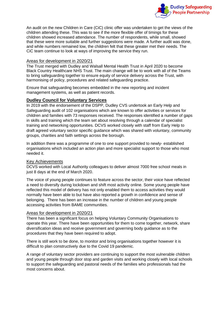

An audit on the new Children in Care (CiC) clinic offer was undertaken to get the views of the children attending these. This was to see if the more flexible offer of timings for these children showed increased attendance. The number of respondents, while small, showed that these were more suitable and further suggestions were made. A further audit was done, and while numbers remained low, the children felt that these greater met their needs. The CiC team continue to look at ways of improving the service they run.

### Areas for development in 2020/21

The Trust merged with Dudley and Walsall Mental Health Trust in April 2020 to become Black Country Healthcare NHS Trust. The main change will be to work with all of the Teams to bring safeguarding together to ensure equity of service delivery across the Trust, with harmonising of policy, procedures and related safeguarding practice.

Ensure that safeguarding becomes embedded in the new reporting and incident management systems, as well as patient records.

### <span id="page-23-0"></span>**Dudley Council for Voluntary Services**

In 2019 with the endorsement of the DSPP, Dudley CVS undertook an Early Help and Safeguarding audit of 102 organisations which are known to offer activities or services for children and families with 73 responses received. The responses identified a number of gaps in skills and training which the team set about resolving through a calendar of specialist training and networking opportunities. DCVS worked closely with staff from Early Help to draft agreed voluntary sector specific guidance which was shared with voluntary, community groups, charities and faith settings across the borough.

In addition there was a programme of one to one support provided to newly- established organisations which included an action plan and more specialist support to those who most needed it.

### Key Achievements

DCVS worked with Local Authority colleagues to deliver almost 7000 free school meals in just 8 days at the end of March 2020.

The voice of young people continues to feature across the sector, their voice have reflected a need to diversify during lockdown and shift most activity online. Some young people have reflected this model of delivery has not only enabled them to access activities they would normally have been able to but have also reported a growth in confidence and sense of belonging. There has been an increase in the number of children and young people accessing activities from BAME communities.

### Areas for development in 2020/21

There has been a significant focus on helping Voluntary Community Organisations to operate this year. There have been opportunities for them to come together, network, share diversification ideas and receive government and governing body guidance as to the procedures that they have been required to adopt.

There is still work to be done, to monitor and bring organisations together however it is difficult to plan constructively due to the Covid 19 pandemic.

A range of voluntary sector providers are continuing to support the most vulnerable children and young people through door stop and garden visits and working closely with local schools to support the safeguarding and pastoral needs of the families who professionals had the most concerns about.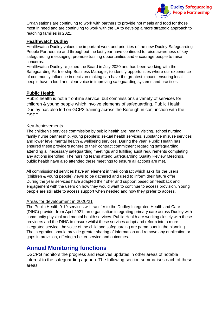

Organisations are continuing to work with partners to provide hot meals and food for those most in need and are continuing to work with the LA to develop a more strategic approach to reaching families in 2021.

# <span id="page-24-0"></span>**Healthwatch Dudley**

Healthwatch Dudley values the important work and priorities of the new Dudley Safeguarding People Partnership and throughout the last year have continued to raise awareness of key safeguarding messaging, promote training opportunities and encourage people to raise concerns.

Healthwatch Dudley re-joined the Board in July 2020 and has been working with the Safeguarding Partnership Business Manager, to identify opportunities where our experience of community influence in decision making can have the greatest impact, ensuring local people have a loud and clear voice in improving safeguarding systems and practices.

# <span id="page-24-1"></span>**Public Health**

Public health is not a frontline service, but commissions a variety of services for children & young people which involve elements of safeguarding. Public Health Dudley has also led on GCP2 training across the Borough in conjunction with the DSPP.

# Key Achievements

The children's services commission by public health are; health visiting, school nursing, family nurse partnership, young people's; sexual health services, substance misuse services and lower level mental health & wellbeing services. During the year, Public Health has ensured these providers adhere to their contract commitment regarding safeguarding, attending all necessary safeguarding meetings and fulfilling audit requirements completing any actions identified. The nursing teams attend Safeguarding Quality Review Meetings, public health have also attended these meetings to ensure all actions are met.

All commissioned services have an element in their contract which asks for the users (children & young people) views to be gathered and used to inform their future offer. During the year services have adapted their offer and support based on feedback and engagement with the users on how they would want to continue to access provision. Young people are still able to access support when needed and how they prefer to access.

# Areas for development in 2020/21

The Public Health 0-19 services will transfer to the Dudley Integrated Health and Care (DIHC) provider from April 2021, an organisation integrating primary care across Dudley with community physical and mental health services. Public Health are working closely with these providers and the DIHC to ensure whilst these services adapt and reform into a more integrated service, the voice of the child and safeguarding are paramount in the planning. The integration should provide greater sharing of information and remove any duplication or gaps in provision, offering a better service and outcomes.

# <span id="page-24-2"></span>**Annual Monitoring functions**

DSCPG monitors the progress and receives updates in other areas of notable interest to the safeguarding agenda. The following section summarises each of these areas.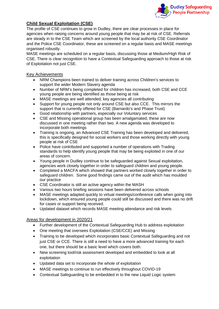

# <span id="page-25-0"></span>**Child Sexual Exploitation (CSE)**

The profile of CSE continues to grow in Dudley, there are clear processes in place for agencies when raising concerns around young people that may be at risk of CSE. Referrals are steady in to the CSE Team which are screened by the local authority CSE Coordinator and the Police CSE Coordinator, these are screened on a regular basis and MASE meetings organised robustly.

MASE meetings are scheduled on a regular basis, discussing those at Medium/High Risk of CSE. There is clear recognition to have a Contextual Safeguarding approach to those at risk of Exploitation not just CSE.

# Key Achievements

- NRM Champions been trained to deliver training across Children's services to support the wider Modern Slavery agenda
- Number of NRM's being completed for children has increased, both CSE and CCE young people are being identified as those being at risk
- MASE meetings are well attended, key agencies all contributing
- Support for young people not only around CSE but also CCE. This mirrors the support that is currently offered for CSE (Barnardo's and Phase Trust)
- Good relationship with partners, especially our Voluntary services
- CSE and Missing operational group has been amalgamated, these are now discussed in one meeting rather than two. A new agenda was developed to incorporate both meetings
- Training is ongoing, an Advanced CSE Training has been developed and delivered, this is specifically designed for social workers and those working directly with young people at risk of CSE
- Police have contributed and supported a number of operations with Trading standards to help identify young people that may be being exploited in one of our areas of concern.
- Young people in Dudley continue to be safeguarded against Sexual exploitation, agencies work closely together in order to safeguard children and young people.
- Completed a MACFA which showed that partners worked closely together in order to safeguard children. Some good findings came out of the audit which has moulded our practice
- CSE Coordinator is still an active agency within the MASH
- Various two hours briefing sessions have been delivered across schools
- MASE meetings adapted quickly to virtual meetings/conference calls when going into lockdown, which ensured young people could still be discussed and there was no drift for cases or support being received.
- Updated dataset which records MASE meeting attendance and risk levels

# Areas for development in 2020/21

- Further development of the Contextual Safeguarding Hub to address exploitation
- One meeting that oversees Exploitation (CSE/CCE) and Missing
- Training to be developed which incorporates basic Contextual Safeguarding and not just CSE or CCE. There is still a need to have a more advanced training for each one, but there should be a basic level which covers both.
- New screening tool/risk assessment developed and embedded to look at all exploitation
- Updated data set to incorporate the whole of exploitation
- MASE meetings to continue to run effectively throughout COVID-19
- Contextual Safeguarding to be embedded in to the new Liquid Logic system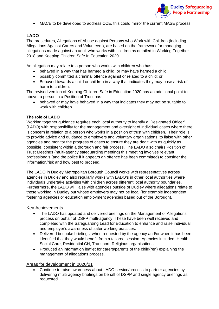

• MACE to be developed to address CCE, this could mirror the current MASE process

# <span id="page-26-0"></span>**LADO**

The procedures, Allegations of Abuse against Persons who Work with Children (including Allegations Against Carers and Volunteers), are based on the framework for managing allegations made against an adult who works with children as detailed in Working Together 2018 and Keeping Children Safe In Education 2020.

An allegation may relate to a person who works with children who has:

- behaved in a way that has harmed a child, or may have harmed a child;
- possibly committed a criminal offence against or related to a child; or
- Behaved towards a child or children in a way that indicates they may pose a risk of harm to children.

The revised version of Keeping Children Safe in Education 2020 has an additional point to above, a person in a Position of Trust has:

• behaved or may have behaved in a way that indicates they may not be suitable to work with children.

### **The role of LADO**

Working together guidance requires each local authority to identify a 'Designated Officer' (LADO) with responsibility for the management and oversight of individual cases where there is concern in relation to a person who works in a position of trust with children. Their role is to provide advice and guidance to employers and voluntary organisations, to liaise with other agencies and monitor the progress of cases to ensure they are dealt with as quickly as possible, consistent within a thorough and fair process. The LADO also chairs Position of Trust Meetings (multi-agency safeguarding meeting) this meeting involves relevant professionals (and the police if it appears an offence has been committed) to consider the information/risk and how best to proceed.

The LADO in Dudley Metropolitan Borough Council works with representatives across agencies in Dudley and also regularly works with LADO's in other local authorities where individuals undertake activities with children across different local authority boundaries. Furthermore, the LADO will liaise with agencies outside of Dudley where allegations relate to those working in Dudley but whose employers may not be local (for example independent fostering agencies or education employment agencies based out of the Borough).

### Key Achievements

- The LADO has updated and delivered briefings on the Management of Allegations process on behalf of DSPP multi-agency. These have been well received and completed with the Safeguarding Lead for Education to enhance and raise individual and employer's awareness of safer working practices.
- Delivered bespoke briefings, when requested by the agency and/or when it has been identified that they would benefit from a tailored session. Agencies included, Health, Social Care, Residential CH, Transport, Religious organisations
- Produced an information leaflet for carers/parents of the child(ren) explaining the management of allegations process.

### Areas for development in 2020/21

• Continue to raise awareness about LADO service/process to partner agencies by delivering multi-agency briefings on behalf of DSPP and single agency briefings as requested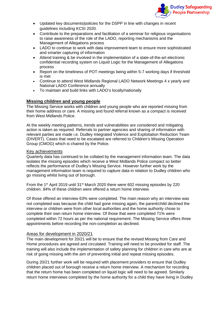

- Updated key documents/policies for the DSPP in line with changes in recent guidelines including KCSI 2020.
- Contribute to the preparations and facilitation of a seminar for religious organisations to raise awareness of the role of the LADO, reporting mechanisms and the Management of Allegations process
- LADO to continue to work with data improvement team to ensure more sophisticated and smarter capturing of information
- Attend training & be involved in the implementation of a state-of-the-art electronic confidential recording system on Liquid Logic for the Management of Allegations process
- Report on the timeliness of POT meetings being within 5-7 working days if threshold is met
- Continue to attend West Midlands Regional LADO Network Meetings 4 x yearly and National LADO Conference annually
- To maintain and build links with LADO's locally/nationally

# <span id="page-27-0"></span>**Missing children and young people**

The Missing Service works with children and young people who are reported missing from their home address or care. A missing and found referral known as a compact is received from West Midlands Police.

At the weekly meeting patterns, trends and vulnerabilities are considered and mitigating action is taken as required. Referrals to partner agencies and sharing of information with relevant parties are made i.e. Dudley Integrated Violence and Exploitation Reduction Team (DIVERT). Cases that need to be escalated are referred to Children's Missing Operation Group (CMOG) which is chaired by the Police.

### Key achievements

Quarterly data has continued to be collated by the management information team. The data isolates the missing episodes which receive a West Midlands Police compact so better reflects the performance of Dudley's Missing Service. However further work by the management information team is required to capture data in relation to Dudley children who go missing whilst living out of borough.

From the 1<sup>st</sup> April 2019 until 31<sup>st</sup> March 2020 there were 602 missing episodes by 220 children. 84% of these children were offered a return home interview.

Of those offered an interview 63% were completed. The main reason why an interview was not completed was because the child had gone missing again, the parent/child declined the interview or children were from other local authorities and the home authority chose to complete their own return home interview. Of those that were completed 71% were completed within 72 hours as per the national requirement. The Missing Service offers three appointments before recording the non-completion as declined.

# Areas for development in 2020/21

The main development for 20/21 will be to ensure that the revised Missing from Care and Home procedures are agreed and circulated. Training will need to be provided for staff. The training will also include the implementation of safety planning for children in care who are at risk of going missing with the aim of preventing initial and repeat missing episodes.

During 20/21 further work will be required with placement providers to ensure that Dudley children placed out of borough receive a return home interview. A mechanism for recording that the return home has been completed on liquid logic will need to be agreed. Similarly return home interviews completed by the home authority for a child they have living in Dudley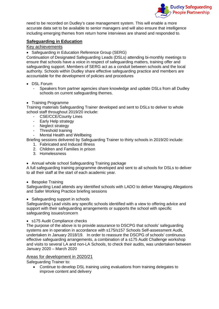

need to be recorded on Dudley's case management system. This will enable a more accurate data set to be available to senior managers and will also ensure that intelligence including emerging themes from return home interviews are shared and responded to.

# <span id="page-28-0"></span>**Safeguarding in Education**

# Key achievements

• Safeguarding in Education Reference Group (SERG)

Continuation of Designated Safeguarding Leads (DSLs) attending bi-monthly meetings to ensure that schools have a voice in respect of safeguarding matters, training offer and safeguarding support. Members of SERG act as a conduit between schools and the local authority. Schools within Dudley share effective safeguarding practice and members are accountable for the development of policies and procedures

- DSL Forum
	- Speakers from partner agencies share knowledge and update DSLs from all Dudley schools on current safeguarding themes.

#### • Training Programme

Training materials Safeguarding Trainer developed and sent to DSLs to deliver to whole school staff throughout 2019/20 include:

- CSE/CCE/County Lines<br>- Early Help strategy
- Early Help strategy
- Neglect strategy
- Threshold training
- Mental Health and Wellbeing

Briefing sessions delivered by Safeguarding Trainer to thirty schools in 2019/20 include:

- 1. Fabricated and Induced Illness
- 2. Children and Families in prison
- 3. Homelessness
- Annual whole school Safeguarding Training package

A full safeguarding training programme developed and sent to all schools for DSLs to deliver to all their staff at the start of each academic year.

### • Bespoke Training

Safeguarding Lead attends any identified schools with LADO to deliver Managing Allegations and Safer Working Practice briefing sessions

### • Safeguarding support in schools

Safeguarding Lead visits any specific schools identified with a view to offering advice and support with their safeguarding arrangements or supports the school with specific safeguarding issues/concern

• s175 Audit Compliance checks

The purpose of the above is to provide assurance to DSCPG that schools' safeguarding systems are in operation in accordance with s175/s157 Schools Self-assessment Audit, undertaken in January 2018/19. In order to reassure the DSCPG of schools' continuous effective safeguarding arrangements, a combination of a s175 Audit Challenge workshop and visits to several LA and non-LA Schools, to check their audits, was undertaken between January 2020 – March 2020

### Areas for development in 2020/21

Safeguarding Trainer to:

• Continue to develop DSL training using evaluations from training delegates to improve content and delivery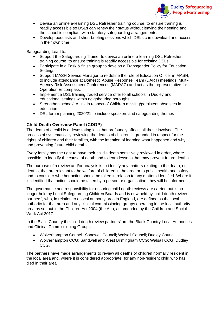

- Devise an online e-learning DSL Refresher training course, to ensure training is readily accessible so DSLs can renew their status without leaving their setting and the school is compliant with statutory safeguarding arrangements.
- Develop podcasts and short briefing sessions which DSLs can download and access in their own time

Safeguarding Lead to:

- Support the Safeguarding Trainer to devise an online e-learning DSL Refresher training course, to ensure training is readily accessible for existing DSLs
- Participate in a Task & finish group to develop a Transgender Policy for Education **Settings**
- Support MASH Service Manager to re define the role of Education Officer in MASH, to include attendance at Domestic Abuse Response Team (DART) meetings, Multi-Agency Risk Assessment Conferences (MARAC) and act as the representative for Operation Encompass.
- Implement a DSL training traded service offer to all schools in Dudley and educational settings within neighbouring boroughs
- Strengthen school/LA link in respect of Children missing/persistent absences in education
- DSL forum planning 2020/21 to include speakers and safeguarding themes

### <span id="page-29-0"></span>**Child Death Overview Panel (CDOP)**

The death of a child is a devastating loss that profoundly affects all those involved. The process of systematically reviewing the deaths of children is grounded in respect for the rights of children and their families, with the intention of learning what happened and why, and preventing future child deaths.

Every family has the right to have their child's death sensitively reviewed in order, where possible, to identify the cause of death and to learn lessons that may prevent future deaths.

The purpose of a review and/or analysis is to identify any matters relating to the death, or deaths, that are relevant to the welfare of children in the area or to public health and safety, and to consider whether action should be taken in relation to any matters identified. Where it is identified that action should be taken by a person or organisation, they will be informed.

The governance and responsibility for ensuring child death reviews are carried out is no longer held by Local Safeguarding Children Boards and is now held by 'child death review partners', who, in relation to a local authority area in England, are defined as the local authority for that area and any clinical commissioning groups operating in the local authority area as set out in the Children Act 2004 (the Act), as amended by the Children and Social Work Act 2017.

In the Black Country the 'child death review partners' are the Black Country Local Authorities and Clinical Commissioning Groups:

- Wolverhampton Council; Sandwell Council; Walsall Council; Dudley Council
- Wolverhampton CCG; Sandwell and West Birmingham CCG; Walsall CCG; Dudley CCG.

The partners have made arrangements to review all deaths of children normally resident in the local area and, where it is considered appropriate, for any non-resident child who has died in their area.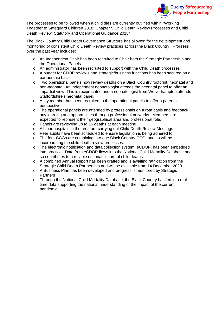

The processes to be followed when a child dies are currently outlined within "Working Together to Safeguard Children 2018: Chapter 5 Child Death Review Processes and Child Death Review: Statutory and Operational Guidance 2018"

The Black Country Child Death Governance Structure has allowed for the development and monitoring of consistent Child Death Review practices across the Black Country. Progress over the past year includes:

- o An Independent Chair has been recruited to Chair both the Strategic Partnership and the Operational Panels
- o An administrator has been recruited to support with the Child Death processes
- o A budget for CDOP reviews and strategic/business functions has been secured on a partnership basis
- o Two operational panels now review deaths on a Black Country footprint; neonatal and non-neonatal. An independent neonatologist attends the neonatal panel to offer an impartial view. This is reciprocated and a neonatologist from Wolverhampton attends Staffordshire's neonatal panel.
- o A lay member has been recruited to the operational panels to offer a parental perspective.
- o The operational panels are attended by professionals on a rota basis and feedback any learning and opportunities through professional networks. Members are expected to represent their geographical area and professional role.
- o Panels are reviewing up to 15 deaths at each meeting.<br>
o All four hospitals in the area are carrying out Child Dea
- All four hospitals in the area are carrying out Child Death Review Meetings
- o Peer audits have been scheduled to ensure legislation is being adhered to.<br>
o The four CCGs are combining into one Black Country CCG, and so will be
- The four CCGs are combining into one Black Country CCG, and so will be incorporating the child death review processes.
- o The electronic notification and data collection system, eCDOP, has been embedded into practice. Data from eCDOP flows into the National Child Mortality Database and so contributes to a reliable national picture of child deaths.
- o A combined Annual Report has been drafted and is awaiting ratification from the Strategic Child Death Partnership and will be available from 14 December 2020
- o A Business Plan has been developed and progress is monitored by Strategic **Partners**
- o Through the National Child Mortality Database, the Black Country has fed into real time data supporting the national understanding of the impact of the current pandemic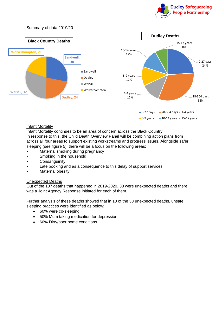



### Infant Mortality

Infant Mortality continues to be an area of concern across the Black Country. In response to this, the Child Death Overview Panel will be combining action plans from across all four areas to support existing workstreams and progress issues. Alongside safer sleeping (see figure 5), there will be a focus on the following areas:

- Maternal smoking during pregnancy
- Smoking in the household
- Consanguinity
- Late booking and as a consequence to this delay of support services
- **Maternal obesity**

### Unexpected Deaths

Out of the 107 deaths that happened in 2019-2020, 33 were unexpected deaths and there was a Joint Agency Response initiated for each of them.

Further analysis of these deaths showed that in 10 of the 33 unexpected deaths, unsafe sleeping practices were identified as below:

- 60% were co-sleeping
- 50% Mum taking medication for depression
- 60% Dirty/poor home conditions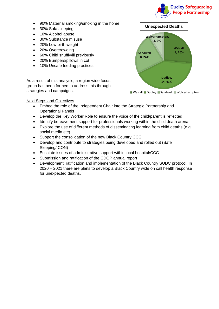

- 90% Maternal smoking/smoking in the home
- 30% Sofa sleeping
- 10% Alcohol abuse
- 30% Substance misuse
- 20% Low birth weight
- 20% Overcrowding
- 60% Child snuffly/ill previously
- 20% Bumpers/pillows in cot
- 10% Unsafe feeding practices

As a result of this analysis, a region wide focus group has been formed to address this through strategies and campaigns.



### Next Steps and Objectives

- Embed the role of the Independent Chair into the Strategic Partnership and Operational Panels
- Develop the Key Worker Role to ensure the voice of the child/parent is reflected
- Identify bereavement support for professionals working within the child death arena
- Explore the use of different methods of disseminating learning from child deaths (e.g. social media etc)
- Support the consolidation of the new Black Country CCG
- Develop and contribute to strategies being developed and rolled out (Safe Sleeping/ICON)
- Escalate issues of administrative support within local hospital/CCG
- Submission and ratification of the CDOP annual report
- Development, ratification and implementation of the Black Country SUDC protocol. In 2020 – 2021 there are plans to develop a Black Country wide on call health response for unexpected deaths.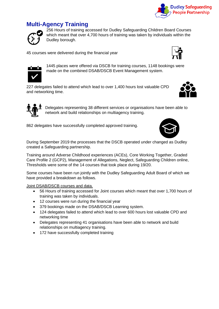

# <span id="page-33-0"></span>**Multi-Agency Training**



256 Hours of training accessed for Dudley Safeguarding Children Board Courses which meant that over 4,700 hours of training was taken by individuals within the Dudley borough.

45 courses were delivered during the financial year





1445 places were offered via DSCB for training courses, 1148 bookings were made on the combined DSAB/DSCB Event Management system.

227 delegates failed to attend which lead to over 1,400 hours lost valuable CPD and networking time.



862 delegates have successfully completed approved training.



During September 2019 the processes that the DSCB operated under changed as Dudley created a Safeguarding partnership.

Training around Adverse Childhood experiences (ACEs), Core Working Together, Graded Care Profile 2 (GCP2), Management of Allegations, Neglect, Safeguarding Children online, Thresholds were some of the 14 courses that took place during 19/20.

Some courses have been run jointly with the Dudley Safeguarding Adult Board of which we have provided a breakdown as follows.

Joint DSAB/DSCB courses and data.

- 56 Hours of training accessed for Joint courses which meant that over 1,700 hours of training was taken by individuals.
- 12 courses were run during the financial year
- 379 bookings made on the DSAB/DSCB Learning system.
- 124 delegates failed to attend which lead to over 600 hours lost valuable CPD and networking time
- Delegates representing 41 organisations have been able to network and build relationships on multiagency training.
- 172 have successfully completed training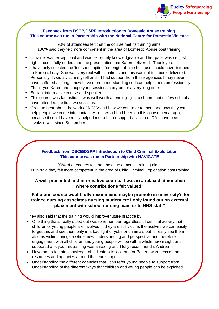

### **Feedback from DSCB/DSPP Introduction to Domestic Abuse training. This course was run in Partnership with the National Centre for Domestic Violence**

90% of attendees felt that the course met its training aims. 100% said they felt more competent in the area of Domestic Abuse post training.

- …trainer was exceptional and was extremely knowledgeable and her pace was set just right, I could fully understand the presentation that Karen delivered. Thank you.
- I have only selected the 'too short' option for length of time because I could have listened to Karen all day. She was very real with situations and this was not text book delivered. Personally, I was a victim myself and if I had support from these agencies I may never have suffered as long. I now have more understanding so I can help others professionally. Thank you Karen and I hope your sessions carry on for a very long time.
- **Brilliant informative course and speaker**
- This course was fantastic. It was well worth attending just a shame that so few schools have attended the first two sessions.
- Great to hear about the work of NCDV and how we can refer to them and how they can help people we come into contact with - I wish I had been on this course a year ago, because it could have really helped me to better support a victim of DA I have been involved with since September.

### **Feedback from DSCB/DSPP Introduction to Child Criminal Exploitation This course was run in Partnership with NAVIGATE**

90% of attendees felt that the course met its training aims. 100% said they felt more competent in the area of Child Criminal Exploitation post training.

# **"A well-presented and informative course, it was in a relaxed atmosphere where contributions felt valued"**

# **"Fabulous course would fully recommend maybe promote in university's for trainee nursing associates nursing student etc I only found out on external placement with school nursing team or to NHS staff"**

They also said that the training would improve future practice by:

- One thing that's really stood out was to remember regardless of criminal activity that children or young people are involved in they are still victims themselves we can easily forget this and see them only in a bad light or yobs or criminals but to really see them also as victims brings a whole new understanding and perspective and therefore engagement with all children and young people will be with a whole new insight and support thank you this training was amazing and I fully recommend it Andrea
- Have an up to date knowledge of indicators to look out for Better awareness of the resources and agencies around that can support.
- Understanding the different agencies that I can refer young people to support from. Understanding of the different ways that children and young people can be exploited.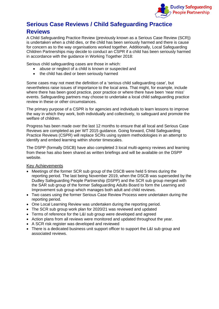

# <span id="page-35-0"></span>**Serious Case Reviews / Child Safeguarding Practice Reviews**

A Child Safeguarding Practice Review (previously known as a Serious Case Review (SCR)) is undertaken when a child dies, or the child has been seriously harmed and there is cause for concern as to the way organisations worked together. Additionally, Local Safeguarding Children Partnerships may decide to conduct an CSPR if a child has been seriously harmed in accordance with the guidance in Working Together 2018:

Serious child safeguarding cases are those in which:

- abuse or neglect of a child is known or suspected and
- the child has died or been seriously harmed

Some cases may not meet the definition of a 'serious child safeguarding case', but nevertheless raise issues of importance to the local area. That might, for example, include where there has been good practice, poor practice or where there have been 'near miss' events. Safeguarding partners may choose to undertake a local child safeguarding practice review in these or other circumstances.

The primary purpose of a CSPR is for agencies and individuals to learn lessons to improve the way in which they work, both individually and collectively, to safeguard and promote the welfare of children.

Progress has been made over the last 12 months to ensure that all local and Serious Case Reviews are completed as per WT 2015 guidance. Going forward, Child Safeguarding Practice Reviews (CSPR) will replace SCRs using system methodologies in an attempt to identify and embed learning within shorter timescales.

The DSPP (formally DSCB) have also completed 3 local multi-agency reviews and learning from these has also been shared as written briefings and will be available on the DSPP website.

### Key Achievements

- Meetings of the former SCR sub group of the DSCB were held 5 times during the reporting period. The last being November 2019, when the DSCB was superseded by the Dudley Safeguarding People Partnership (DSPP) and the SCR sub group merged with the SAR sub group of the former Safeguarding Adults Board to form the Learning and Improvement sub group which manages both adult and child reviews.
- Two cases using the former Serious Case Review Process were undertaken during the reporting period.
- One Local Learning Review was undertaken during the reporting period.
- The SCR sub group work plan for 2020/21 was reviewed and updated
- Terms of reference for the L&I sub group were developed and agreed
- Action plans from all reviews were monitored and updated throughout the year.
- A SCR risk register was developed and reviewed
- There is a dedicated business unit support officer to support the L&I sub group and associated reviews.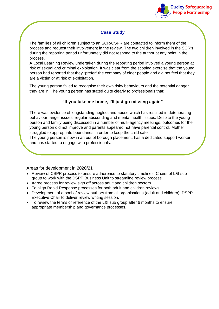

# **Case Study**

The families of all children subject to an SCR/CSPR are contacted to inform them of the process and request their involvement in the review. The two children involved in the SCR's during the reporting period unfortunately did not respond to the author at any point in the process.

A Local Learning Review undertaken during the reporting period involved a young person at risk of sexual and criminal exploitation. It was clear from the scoping exercise that the young person had reported that they "prefer" the company of older people and did not feel that they are a victim or at risk of exploitation.

The young person failed to recognise their own risky behaviours and the potential danger they are in. The young person has stated quite clearly to professionals that:

# **"If you take me home, I'll just go missing again"**

There was evidence of longstanding neglect and abuse which has resulted in deteriorating behaviour, anger issues, regular absconding and mental health issues. Despite the young person and family being discussed in a number of multi-agency meetings, outcomes for the young person did not improve and parents appeared not have parental control. Mother struggled to appropriate boundaries in order to keep the child safe.

The young person is now in an out of borough placement, has a dedicated support worker and has started to engage with professionals.

# Areas for development in 2020/21

- Review of CSPR process to ensure adherence to statutory timelines. Chairs of L&I sub group to work with the DSPP Business Unit to streamline review process
- Agree process for review sign off across adult and children sectors.
- To align Rapid Response processes for both adult and children reviews.
- Development of a pool of review authors from all organisations (adult and children). DSPP Executive Chair to deliver review writing session.
- To review the terms of reference of the L&I sub group after 6 months to ensure appropriate membership and governance processes.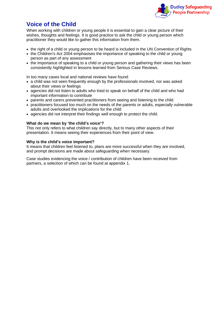

# <span id="page-37-0"></span>**Voice of the Child**

When working with children or young people it is essential to gain a clear picture of their wishes, thoughts and feelings. It is good practice to ask the child or young person which practitioner they would like to gather this information from them.

- the right of a child or young person to be heard is included in the UN Convention of Rights
- the Children's Act 2004 emphasises the importance of speaking to the child or young person as part of any assessment
- the importance of speaking to a child or young person and gathering their views has been consistently highlighted in lessons learned from Serious Case Reviews.

In too many cases local and national reviews have found:

- a child was not seen frequently enough by the professionals involved, nor was asked about their views or feelings
- agencies did not listen to adults who tried to speak on behalf of the child and who had important information to contribute
- parents and carers prevented practitioners from seeing and listening to the child
- practitioners focused too much on the needs of the parents or adults, especially vulnerable adults and overlooked the implications for the child
- agencies did not interpret their findings well enough to protect the child.

### **What do we mean by 'the child's voice'?**

This not only refers to what children say directly, but to many other aspects of their presentation. It means seeing their experiences from their point of view.

### **Why is the child's voice important?**

It means that children feel listened to, plans are more successful when they are involved, and prompt decisions are made about safeguarding when necessary.

Case studies evidencing the voice / contribution of children have been received from partners, a selection of which can be found at appendix 1.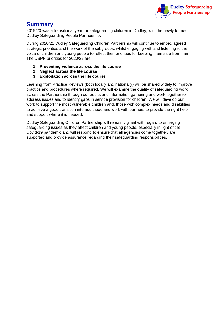

# <span id="page-38-0"></span>**Summary**

2019/20 was a transitional year for safeguarding children in Dudley, with the newly formed Dudley Safeguarding People Partnership.

During 2020/21 Dudley Safeguarding Children Partnership will continue to embed agreed strategic priorities and the work of the subgroups, whilst engaging with and listening to the voice of children and young people to reflect their priorities for keeping them safe from harm. The DSPP priorities for 2020/22 are:

- **1. Preventing violence across the life course**
- **2. Neglect across the life course**
- **3. Exploitation across the life course**

Learning from Practice Reviews (both locally and nationally) will be shared widely to improve practice and procedures where required. We will examine the quality of safeguarding work across the Partnership through our audits and information gathering and work together to address issues and to identify gaps in service provision for children. We will develop our work to support the most vulnerable children and, those with complex needs and disabilities to achieve a good transition into adulthood and work with partners to provide the right help and support where it is needed.

Dudley Safeguarding Children Partnership will remain vigilant with regard to emerging safeguarding issues as they affect children and young people, especially in light of the Covid-19 pandemic and will respond to ensure that all agencies come together, are supported and provide assurance regarding their safeguarding responsibilities.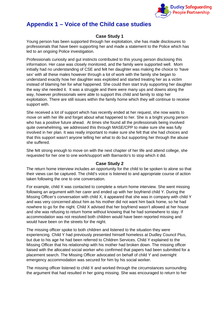

# <span id="page-39-0"></span>**Appendix 1 – Voice of the Child case studies**

# **Case Study 1**

Young person has been supported through her exploitation, she has made disclosures to professionals that have been supporting her and made a statement to the Police which has led to an ongoing Police investigation.

Professionals curiosity and gut instincts contributed to this young person disclosing this information. Her case was closely monitored, and the family were supported well. Mom initially had no understanding of CSE and felt her daughter was making the choice to 'have sex' with all these males however through a lot of work with the family she began to understand exactly how her daughter was exploited and started treating her as a victim instead of blaming her for what happened. She could then start truly supporting her daughter the way she needed it. It was a struggle and there were many ups and downs along the way, however professionals were able to support this child and family to stop her exploitation. There are still issues within the family home which they will continue to receive support with.

She received a lot of support which has recently ended at her request, she now wants to move on with her life and forget about what happened to her. She is a bright young person who has a positive future ahead. At times she found all the professionals being involved quite overwhelming, we addressed this through MASE/CPP to make sure she was fully involved in her plan. It was really important to make sure she felt that she had choices and that this support wasn't anyone telling her what to do but supporting her through the abuse she suffered.

She felt strong enough to move on with the next chapter of her life and attend college, she requested for her one to one work/support with Barnardo's to stop which it did.

# **Case Study 2**

The return home interview includes an opportunity for the child to be spoken to alone so that their views can be captured. The child's voice is listened to and appropriate course of action taken following the one to one conversation.

For example, child X was contacted to complete a return home interview. She went missing following an argument with her carer and ended up with her boyfriend child Y. During the Missing Officer's conversation with child X, it appeared that she was in company with child Y and was very concerned about him as his mother did not want him back home, so he had nowhere to go for the night. Child X advised that her boyfriend wasn't allowed at her house and she was refusing to return home without knowing that he had somewhere to stay. If accommodation was not resolved both children would have been reported missing and would have been on the streets for the night.

The missing officer spoke to both children and listened to the situation they were experiencing. Child Y had previously presented himself homeless at Dudley Council Plus, but due to his age he had been referred to Children Services. Child Y explained to the Missing Officer that his relationship with his mother had broken down. The missing officer liaised with the allocated social worker who confirmed that papers had been submitted for a placement search. The Missing Officer advocated on behalf of child Y and overnight emergency accommodation was secured for him by his social worker.

The missing officer listened to child X and worked through the circumstances surrounding the argument that had resulted in her going missing. She was encouraged to return to her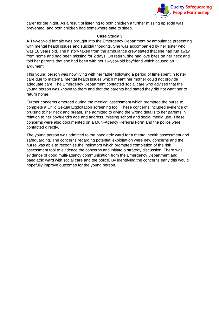

carer for the night. As a result of listening to both children a further missing episode was prevented, and both children had somewhere safe to sleep.

### **Case Study 3**

A 14-year-old female was brought into the Emergency Department by ambulance presenting with mental health issues and suicidal thoughts. She was accompanied by her sister who was 18 years old. The history taken from the ambulance crew stated that she had run away from home and had been missing for 2 days. On return, she had love bites on her neck and told her parents that she had been with her 16-year-old boyfriend which caused an argument.

This young person was now living with her father following a period of time spent in foster care due to maternal mental health issues which meant her mother could not provide adequate care. The Emergency Department contacted social care who advised that the young person was known to them and that the parents had stated they did not want her to return home.

Further concerns emerged during the medical assessment which prompted the nurse to complete a Child Sexual Exploitation screening tool. These concerns included evidence of bruising to her neck and breast, she admitted to giving the wrong details to her parents in relation to her boyfriend's age and address, missing school and social media use. These concerns were also documented on a Multi-Agency Referral Form and the police were contacted directly.

The young person was admitted to the paediatric ward for a mental health assessment and safeguarding. The concerns regarding potential exploitation were new concerns and the nurse was able to recognise the indicators which prompted completion of the risk assessment tool to evidence the concerns and initiate a strategy discussion. There was evidence of good multi-agency communication from the Emergency Department and paediatric ward with social care and the police. By identifying the concerns early this would hopefully improve outcomes for the young person.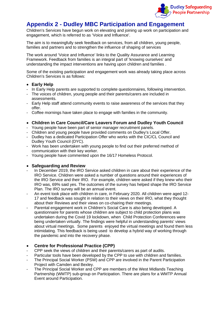

# <span id="page-41-0"></span>**Appendix 2 - Dudley MBC Participation and Engagement**

Children's Services have begun work on elevating and joining up work on participation and engagement, which is referred to as 'Voice and Influence'.

The aim is to meaningfully seek feedback on services, from all children, young people, families and partners and to strengthen the influence of shaping of services

The work around 'Voice and Influence' links to the Quality Assurance and Learning Framework. Feedback from families is an integral part of 'knowing ourselves' and understanding the impact interventions are having upon children and families .

Some of the existing participation and engagement work was already taking place across Children's Services is as follows:

### • **Early Help**

- In Early Help parents are supported to complete questionnaires, following intervention.
- The voices of children, young people and their parents/carers are included in assessments.
- Early Help staff attend community events to raise awareness of the services that they offer.
- Coffee mornings have taken place to engage with families in the community.
- **Children in Care Council/Care Leavers Forum and Dudley Youth Council**
- Young people have been part of senior manager recruitment panels.
- Children and young people have provided comments on Dudley's Local Offer.
- Dudley has a dedicated Participation Offer who works with the CIC/CL Council and Dudley Youth Council (DYC).
- Work has been undertaken with young people to find out their preferred method of communication with their key worker.
- Young people have commented upon the 16/17 Homeless Protocol.

# • **Safeguarding and Review**

- In December 2019, the IRO Service asked children in care about their experience of the IRO Service. Children were asked a number of questions around their experiences of the IRO Service and their IRO. For example, children were asked if they knew who their IRO was, 69% said yes. The outcomes of the survey has helped shape the IRO Service Plan. The IRO survey will be an annual event.
- An event took place with children in care, in February 2020. All children were aged 12- 17 and feedback was sought in relation to their views on their IRO, what they thought about their Reviews and their views on co-chairing their meetings.
- Parental engagement work in Children's Social Care is also being developed. A questionnaire for parents whose children are subject to child protection plans was undertaken during the Covid 19 lockdown, when Child Protection Conferences were being undertaken virtually. The findings were helpful in understanding parents' views about virtual meetings. Some parents enjoyed the virtual meetings and found them less intimidating. This feedback is being used to develop a hybrid way of working through the pandemic and into the recovery phase.

# • **Centre for Professional Practice (CPP)**

- CPP seek the views of children and their parents/carers as part of audits.
- Particular tools have been developed by the CPP to use with children and families.
- The Principal Social Worker (PSW) and CPP are involved in the Parent Participation Project with Camden and Bexley.
- The Principal Social Worker and CPP are members of the West Midlands Teaching Partnership (WMTP) sub-group on Participation. There are plans for a WMTP Annual Event around Participation.